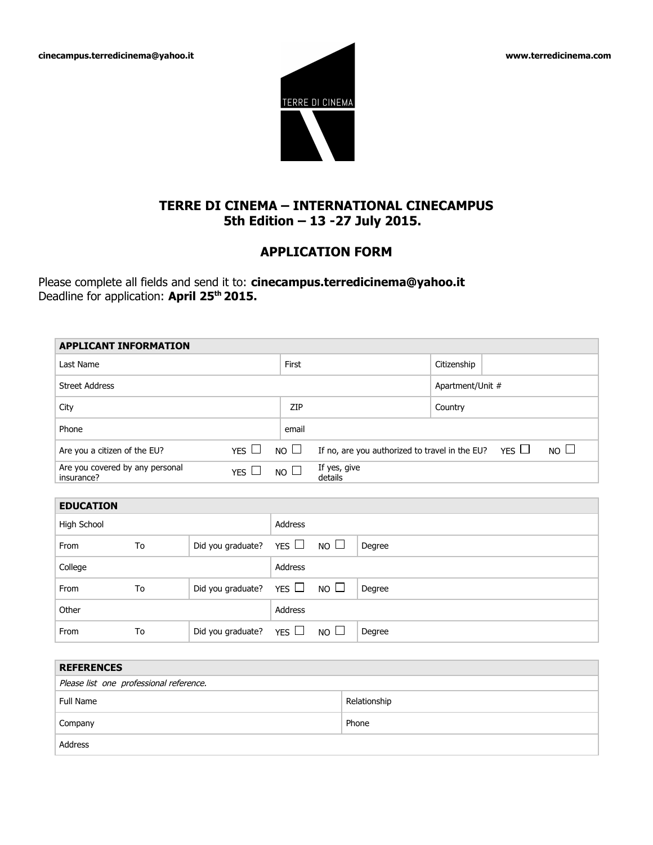**cinecampus.terredicinema@yahoo.it www.terredicinema.com** 



# **TERRE DI CINEMA – INTERNATIONAL CINECAMPUS 5th Edition – 13 -27 July 2015.**

# **APPLICATION FORM**

Please complete all fields and send it to: **cinecampus.terredicinema@yahoo.it** Deadline for application: **April 25th 2015.**

Company Phone

Address

|                                                      | <b>APPLICANT INFORMATION</b>            |                   |                         |                                                                 |              |                  |  |
|------------------------------------------------------|-----------------------------------------|-------------------|-------------------------|-----------------------------------------------------------------|--------------|------------------|--|
| Last Name                                            |                                         |                   | First                   |                                                                 |              | Citizenship      |  |
| <b>Street Address</b>                                |                                         |                   |                         |                                                                 |              | Apartment/Unit # |  |
| City                                                 |                                         |                   | ZIP                     |                                                                 |              | Country          |  |
| Phone                                                |                                         |                   | email                   |                                                                 |              |                  |  |
| YES<br>Are you a citizen of the EU?                  |                                         |                   | $NO$ $\Box$             | If no, are you authorized to travel in the EU? YES $\Box$<br>NO |              |                  |  |
| Are you covered by any personal<br>YES<br>insurance? |                                         | NO                | If yes, give<br>details |                                                                 |              |                  |  |
|                                                      |                                         |                   |                         |                                                                 |              |                  |  |
| <b>EDUCATION</b>                                     |                                         |                   |                         |                                                                 |              |                  |  |
| High School                                          |                                         |                   | <b>Address</b>          |                                                                 |              |                  |  |
| From                                                 | To                                      | Did you graduate? | YES L                   | $NO$ $\Box$                                                     | Degree       |                  |  |
| College                                              |                                         |                   | Address                 |                                                                 |              |                  |  |
| From                                                 | To                                      | Did you graduate? | YES                     | NO                                                              | Degree       |                  |  |
| Other                                                |                                         |                   | Address                 |                                                                 |              |                  |  |
| From                                                 | To                                      | Did you graduate? | YES $\Box$              | $NO$ $\Box$                                                     | Degree       |                  |  |
|                                                      |                                         |                   |                         |                                                                 |              |                  |  |
| <b>REFERENCES</b>                                    |                                         |                   |                         |                                                                 |              |                  |  |
|                                                      | Please list one professional reference. |                   |                         |                                                                 |              |                  |  |
| <b>Full Name</b>                                     |                                         |                   |                         |                                                                 | Relationship |                  |  |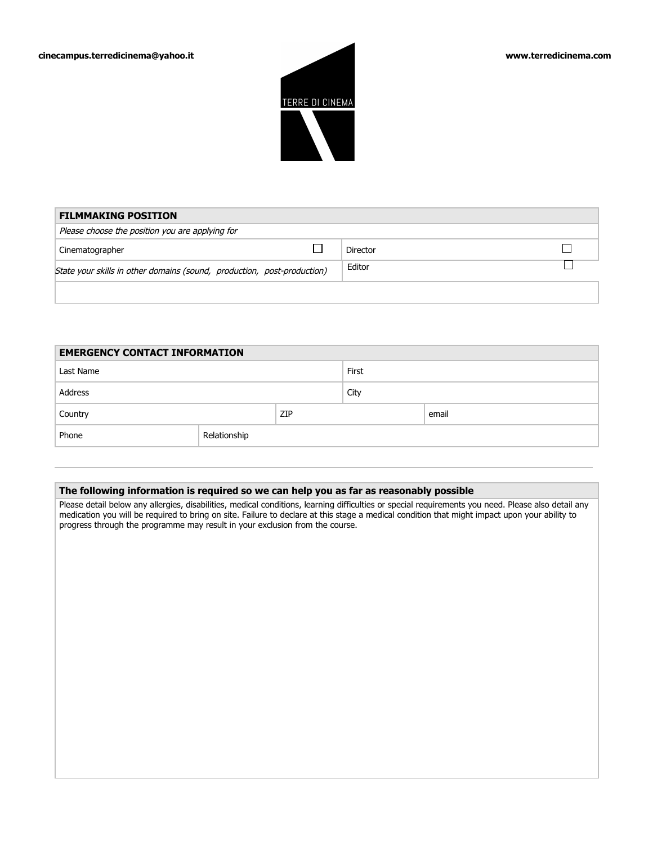

| <b>FILMMAKING POSITION</b>                                              |  |          |  |
|-------------------------------------------------------------------------|--|----------|--|
| Please choose the position you are applying for                         |  |          |  |
| Cinematographer                                                         |  | Director |  |
| State your skills in other domains (sound, production, post-production) |  | Editor   |  |
|                                                                         |  |          |  |

| <b>EMERGENCY CONTACT INFORMATION</b> |              |     |       |       |  |
|--------------------------------------|--------------|-----|-------|-------|--|
| Last Name                            |              |     | First |       |  |
| Address                              |              |     | City  |       |  |
| Country                              |              | ZIP |       | email |  |
| Phone                                | Relationship |     |       |       |  |

## **The following information is required so we can help you as far as reasonably possible**

Please detail below any allergies, disabilities, medical conditions, learning difficulties or special requirements you need. Please also detail any medication you will be required to bring on site. Failure to declare at this stage a medical condition that might impact upon your ability to progress through the programme may result in your exclusion from the course.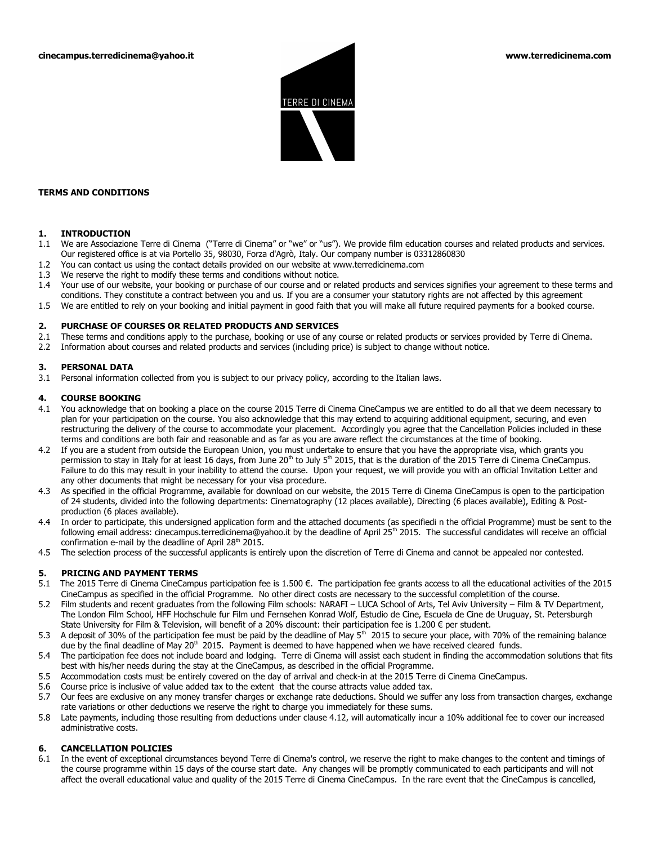

#### **TERMS AND CONDITIONS**

#### **1. INTRODUCTION**

- 1.1 We are Associazione Terre di Cinema ("Terre di Cinema" or "we" or "us"). We provide film education courses and related products and services. Our registered office is at via Portello 35, 98030, Forza d'Agrò, Italy. Our company number is 03312860830
- 1.2 You can contact us using the contact details provided on our website at www.terredicinema.com
- 1.3 We reserve the right to modify these terms and conditions without notice.
- 1.4 Your use of our website, your booking or purchase of our course and or related products and services signifies your agreement to these terms and conditions. They constitute a contract between you and us. If you are a consumer your statutory rights are not affected by this agreement
- 1.5 We are entitled to rely on your booking and initial payment in good faith that you will make all future required payments for a booked course.

#### **2. PURCHASE OF COURSES OR RELATED PRODUCTS AND SERVICES**

- 2.1 These terms and conditions apply to the purchase, booking or use of any course or related products or services provided by Terre di Cinema.
- 2.2 Information about courses and related products and services (including price) is subject to change without notice.

#### **3. PERSONAL DATA**

3.1 Personal information collected from you is subject to our privacy policy, according to the Italian laws.

#### **4. COURSE BOOKING**

- 4.1 You acknowledge that on booking a place on the course 2015 Terre di Cinema CineCampus we are entitled to do all that we deem necessary to plan for your participation on the course. You also acknowledge that this may extend to acquiring additional equipment, securing, and even restructuring the delivery of the course to accommodate your placement. Accordingly you agree that the Cancellation Policies included in these terms and conditions are both fair and reasonable and as far as you are aware reflect the circumstances at the time of booking.
- 4.2 If you are a student from outside the European Union, you must undertake to ensure that you have the appropriate visa, which grants you permission to stay in Italy for at least 16 days, from June  $20<sup>th</sup>$  to July 5<sup>th</sup> 2015, that is the duration of the 2015 Terre di Cinema CineCampus. Failure to do this may result in your inability to attend the course. Upon your request, we will provide you with an official Invitation Letter and any other documents that might be necessary for your visa procedure.
- 4.3 As specified in the official Programme, available for download on our website, the 2015 Terre di Cinema CineCampus is open to the participation of 24 students, divided into the following departments: Cinematography (12 places available), Directing (6 places available), Editing & Postproduction (6 places available).
- 4.4 In order to participate, this undersigned application form and the attached documents (as specifiedi n the official Programme) must be sent to the following email address: cinecampus.terredicinema@yahoo.it by the deadline of April 25<sup>th</sup> 2015. The successful candidates will receive an official confirmation e-mail by the deadline of April 28<sup>th</sup> 2015.
- 4.5 The selection process of the successful applicants is entirely upon the discretion of Terre di Cinema and cannot be appealed nor contested.

#### **5. PRICING AND PAYMENT TERMS**

- 5.1The 2015 Terre di Cinema CineCampus participation fee is 1.500 €. The participation fee grants access to all the educational activities of the 2015 CineCampus as specified in the official Programme. No other direct costs are necessary to the successful completition of the course.
- 5.2 Film students and recent graduates from the following Film schools: NARAFI LUCA School of Arts, Tel Aviv University Film & TV Department, The London Film School, HFF Hochschule fur Film und Fernsehen Konrad Wolf, Estudio de Cine, Escuela de Cine de Uruguay, St. Petersburgh State University for Film & Television, will benefit of a 20% discount: their participation fee is 1.200 € per student.
- 5.3 A deposit of 30% of the participation fee must be paid by the deadline of May  $5<sup>th</sup>$  2015 to secure your place, with 70% of the remaining balance due by the final deadline of May 20<sup>th</sup> 2015. Payment is deemed to have happened when we have received cleared funds.
- 5.4 The participation fee does not include board and lodging. Terre di Cinema will assist each student in finding the accommodation solutions that fits best with his/her needs during the stay at the CineCampus, as described in the official Programme.
- 5.5 Accommodation costs must be entirely covered on the day of arrival and check-in at the 2015 Terre di Cinema CineCampus.
- 5.6 Course price is inclusive of value added tax to the extent that the course attracts value added tax.
- 5.7 Our fees are exclusive on any money transfer charges or exchange rate deductions. Should we suffer any loss from transaction charges, exchange rate variations or other deductions we reserve the right to charge you immediately for these sums.
- 5.8 Late payments, including those resulting from deductions under clause 4.12, will automatically incur a 10% additional fee to cover our increased administrative costs.

#### **6. CANCELLATION POLICIES**

6.1 In the event of exceptional circumstances beyond Terre di Cinema's control, we reserve the right to make changes to the content and timings of the course programme within 15 days of the course start date. Any changes will be promptly communicated to each participants and will not affect the overall educational value and quality of the 2015 Terre di Cinema CineCampus. In the rare event that the CineCampus is cancelled,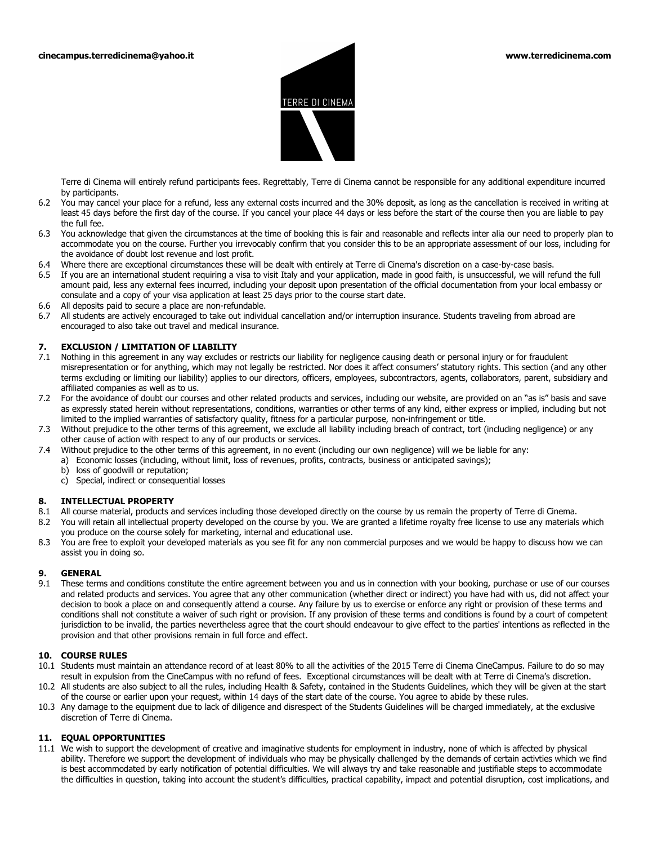

Terre di Cinema will entirely refund participants fees. Regrettably, Terre di Cinema cannot be responsible for any additional expenditure incurred by participants.

- 6.2 You may cancel your place for a refund, less any external costs incurred and the 30% deposit, as long as the cancellation is received in writing at least 45 days before the first day of the course. If you cancel your place 44 days or less before the start of the course then you are liable to pay the full fee.
- 6.3 You acknowledge that given the circumstances at the time of booking this is fair and reasonable and reflects inter alia our need to properly plan to accommodate you on the course. Further you irrevocably confirm that you consider this to be an appropriate assessment of our loss, including for the avoidance of doubt lost revenue and lost profit.
- 6.4 Where there are exceptional circumstances these will be dealt with entirely at Terre di Cinema's discretion on a case-by-case basis.
- 6.5 If you are an international student requiring a visa to visit Italy and your application, made in good faith, is unsuccessful, we will refund the full amount paid, less any external fees incurred, including your deposit upon presentation of the official documentation from your local embassy or consulate and a copy of your visa application at least 25 days prior to the course start date.
- 6.6 All deposits paid to secure a place are non-refundable.
- 6.7 All students are actively encouraged to take out individual cancellation and/or interruption insurance. Students traveling from abroad are encouraged to also take out travel and medical insurance.

### **7. EXCLUSION / LIMITATION OF LIABILITY**

- 7.1 Nothing in this agreement in any way excludes or restricts our liability for negligence causing death or personal injury or for fraudulent misrepresentation or for anything, which may not legally be restricted. Nor does it affect consumers' statutory rights. This section (and any other terms excluding or limiting our liability) applies to our directors, officers, employees, subcontractors, agents, collaborators, parent, subsidiary and affiliated companies as well as to us.
- 7.2 For the avoidance of doubt our courses and other related products and services, including our website, are provided on an "as is" basis and save as expressly stated herein without representations, conditions, warranties or other terms of any kind, either express or implied, including but not limited to the implied warranties of satisfactory quality, fitness for a particular purpose, non-infringement or title.
- 7.3 Without prejudice to the other terms of this agreement, we exclude all liability including breach of contract, tort (including negligence) or any other cause of action with respect to any of our products or services.
- 7.4 Without prejudice to the other terms of this agreement, in no event (including our own negligence) will we be liable for any:
	- a) Economic losses (including, without limit, loss of revenues, profits, contracts, business or anticipated savings);
	- b) loss of goodwill or reputation;
	- c) Special, indirect or consequential losses

#### **8. INTELLECTUAL PROPERTY**

- 8.1 All course material, products and services including those developed directly on the course by us remain the property of Terre di Cinema.
- 8.2 You will retain all intellectual property developed on the course by you. We are granted a lifetime royalty free license to use any materials which you produce on the course solely for marketing, internal and educational use.
- 8.3 You are free to exploit your developed materials as you see fit for any non commercial purposes and we would be happy to discuss how we can assist you in doing so.

#### **9. GENERAL**

9.1 These terms and conditions constitute the entire agreement between you and us in connection with your booking, purchase or use of our courses and related products and services. You agree that any other communication (whether direct or indirect) you have had with us, did not affect your decision to book a place on and consequently attend a course. Any failure by us to exercise or enforce any right or provision of these terms and conditions shall not constitute a waiver of such right or provision. If any provision of these terms and conditions is found by a court of competent jurisdiction to be invalid, the parties nevertheless agree that the court should endeavour to give effect to the parties' intentions as reflected in the provision and that other provisions remain in full force and effect.

### **10. COURSE RULES**

- 10.1 Students must maintain an attendance record of at least 80% to all the activities of the 2015 Terre di Cinema CineCampus. Failure to do so may result in expulsion from the CineCampus with no refund of fees. Exceptional circumstances will be dealt with at Terre di Cinema's discretion.
- 10.2 All students are also subject to all the rules, including Health & Safety, contained in the Students Guidelines, which they will be given at the start of the course or earlier upon your request, within 14 days of the start date of the course. You agree to abide by these rules.
- 10.3 Any damage to the equipment due to lack of diligence and disrespect of the Students Guidelines will be charged immediately, at the exclusive discretion of Terre di Cinema.

#### **11. EQUAL OPPORTUNITIES**

11.1 We wish to support the development of creative and imaginative students for employment in industry, none of which is affected by physical ability. Therefore we support the development of individuals who may be physically challenged by the demands of certain activties which we find is best accommodated by early notification of potential difficulties. We will always try and take reasonable and justifiable steps to accommodate the difficulties in question, taking into account the student's difficulties, practical capability, impact and potential disruption, cost implications, and